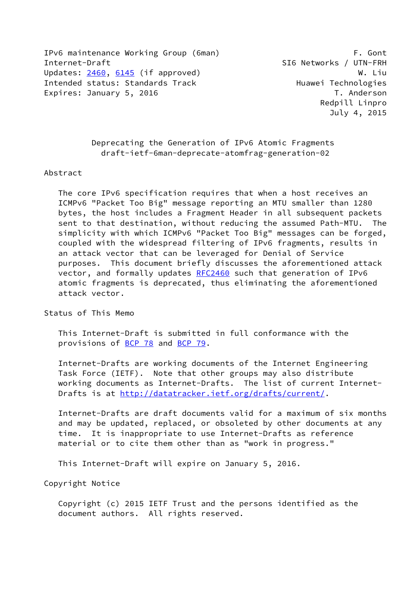IPv6 maintenance Working Group (6man) F. Gont Internet-Draft SI6 Networks / UTN-FRH Updates: [2460](https://datatracker.ietf.org/doc/pdf/rfc2460), [6145](https://datatracker.ietf.org/doc/pdf/rfc6145) (if approved) W. Liu Intended status: Standards Track Huawei Technologies Expires: January 5, 2016 **T. Anderson** T. Anderson

 Deprecating the Generation of IPv6 Atomic Fragments draft-ietf-6man-deprecate-atomfrag-generation-02

## Abstract

 The core IPv6 specification requires that when a host receives an ICMPv6 "Packet Too Big" message reporting an MTU smaller than 1280 bytes, the host includes a Fragment Header in all subsequent packets sent to that destination, without reducing the assumed Path-MTU. The simplicity with which ICMPv6 "Packet Too Big" messages can be forged, coupled with the widespread filtering of IPv6 fragments, results in an attack vector that can be leveraged for Denial of Service purposes. This document briefly discusses the aforementioned attack vector, and formally updates [RFC2460](https://datatracker.ietf.org/doc/pdf/rfc2460) such that generation of IPv6 atomic fragments is deprecated, thus eliminating the aforementioned attack vector.

Status of This Memo

 This Internet-Draft is submitted in full conformance with the provisions of [BCP 78](https://datatracker.ietf.org/doc/pdf/bcp78) and [BCP 79](https://datatracker.ietf.org/doc/pdf/bcp79).

 Internet-Drafts are working documents of the Internet Engineering Task Force (IETF). Note that other groups may also distribute working documents as Internet-Drafts. The list of current Internet- Drafts is at<http://datatracker.ietf.org/drafts/current/>.

 Internet-Drafts are draft documents valid for a maximum of six months and may be updated, replaced, or obsoleted by other documents at any time. It is inappropriate to use Internet-Drafts as reference material or to cite them other than as "work in progress."

This Internet-Draft will expire on January 5, 2016.

Copyright Notice

 Copyright (c) 2015 IETF Trust and the persons identified as the document authors. All rights reserved.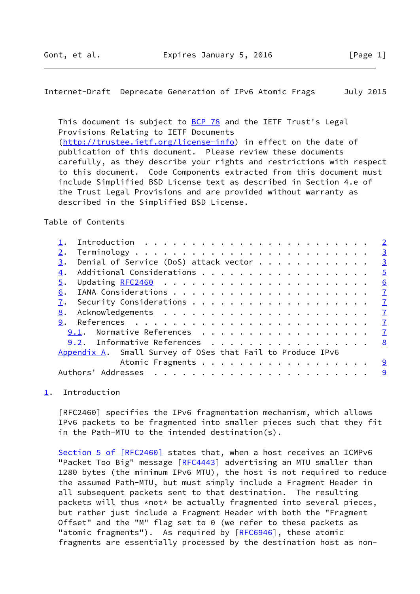<span id="page-1-1"></span>Internet-Draft Deprecate Generation of IPv6 Atomic Frags July 2015

This document is subject to [BCP 78](https://datatracker.ietf.org/doc/pdf/bcp78) and the IETF Trust's Legal Provisions Relating to IETF Documents [\(http://trustee.ietf.org/license-info](http://trustee.ietf.org/license-info)) in effect on the date of publication of this document. Please review these documents carefully, as they describe your rights and restrictions with respect to this document. Code Components extracted from this document must include Simplified BSD License text as described in Section 4.e of the Trust Legal Provisions and are provided without warranty as described in the Simplified BSD License.

## Table of Contents

|    |                                                            | $\overline{2}$          |
|----|------------------------------------------------------------|-------------------------|
| 2. |                                                            | $\overline{\mathbf{3}}$ |
| 3. | Denial of Service (DoS) attack vector $\cdots$ 3           |                         |
| 4. | Additional Considerations 5                                |                         |
| 5. |                                                            | 6                       |
| 6. |                                                            |                         |
| 7. |                                                            |                         |
| 8. |                                                            | $\mathbf{Z}$            |
|    |                                                            |                         |
|    | <u>9.1</u> . Normative References <u>7</u>                 |                         |
|    | 9.2. Informative References                                | 8                       |
|    | Appendix A. Small Survey of OSes that Fail to Produce IPv6 |                         |
|    | Atomic Fragments 9                                         |                         |
|    |                                                            |                         |
|    |                                                            |                         |

<span id="page-1-0"></span>[1](#page-1-0). Introduction

 [RFC2460] specifies the IPv6 fragmentation mechanism, which allows IPv6 packets to be fragmented into smaller pieces such that they fit in the Path-MTU to the intended destination(s).

Section [5 of \[RFC2460\]](https://datatracker.ietf.org/doc/pdf/rfc2460#section-5) states that, when a host receives an ICMPv6 "Packet Too Big" message [\[RFC4443](https://datatracker.ietf.org/doc/pdf/rfc4443)] advertising an MTU smaller than 1280 bytes (the minimum IPv6 MTU), the host is not required to reduce the assumed Path-MTU, but must simply include a Fragment Header in all subsequent packets sent to that destination. The resulting packets will thus \*not\* be actually fragmented into several pieces, but rather just include a Fragment Header with both the "Fragment Offset" and the "M" flag set to 0 (we refer to these packets as "atomic fragments"). As required by [\[RFC6946](https://datatracker.ietf.org/doc/pdf/rfc6946)], these atomic fragments are essentially processed by the destination host as non-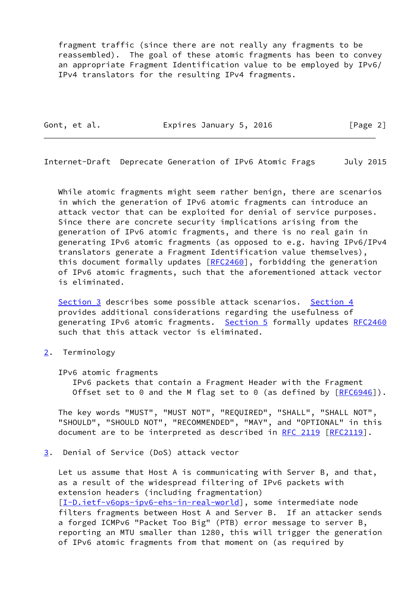fragment traffic (since there are not really any fragments to be reassembled). The goal of these atomic fragments has been to convey an appropriate Fragment Identification value to be employed by IPv6/ IPv4 translators for the resulting IPv4 fragments.

Gont, et al. **Expires January 5, 2016** [Page 2]

<span id="page-2-1"></span>Internet-Draft Deprecate Generation of IPv6 Atomic Frags July 2015

 While atomic fragments might seem rather benign, there are scenarios in which the generation of IPv6 atomic fragments can introduce an attack vector that can be exploited for denial of service purposes. Since there are concrete security implications arising from the generation of IPv6 atomic fragments, and there is no real gain in generating IPv6 atomic fragments (as opposed to e.g. having IPv6/IPv4 translators generate a Fragment Identification value themselves), this document formally updates [\[RFC2460](https://datatracker.ietf.org/doc/pdf/rfc2460)], forbidding the generation of IPv6 atomic fragments, such that the aforementioned attack vector is eliminated.

 [Section 3](#page-2-2) describes some possible attack scenarios. [Section 4](#page-4-0) provides additional considerations regarding the usefulness of generating IPv6 atomic fragments. [Section 5](#page-6-0) formally updates [RFC2460](https://datatracker.ietf.org/doc/pdf/rfc2460) such that this attack vector is eliminated.

- <span id="page-2-0"></span>[2](#page-2-0). Terminology
	- IPv6 atomic fragments

 IPv6 packets that contain a Fragment Header with the Fragment Offset set to 0 and the M flag set to 0 (as defined by  $[RECS946]$ ).

 The key words "MUST", "MUST NOT", "REQUIRED", "SHALL", "SHALL NOT", "SHOULD", "SHOULD NOT", "RECOMMENDED", "MAY", and "OPTIONAL" in this document are to be interpreted as described in [RFC 2119 \[RFC2119](https://datatracker.ietf.org/doc/pdf/rfc2119)].

<span id="page-2-2"></span>[3](#page-2-2). Denial of Service (DoS) attack vector

 Let us assume that Host A is communicating with Server B, and that, as a result of the widespread filtering of IPv6 packets with extension headers (including fragmentation) [\[I-D.ietf-v6ops-ipv6-ehs-in-real-world](#page-8-1)], some intermediate node filters fragments between Host A and Server B. If an attacker sends a forged ICMPv6 "Packet Too Big" (PTB) error message to server B, reporting an MTU smaller than 1280, this will trigger the generation of IPv6 atomic fragments from that moment on (as required by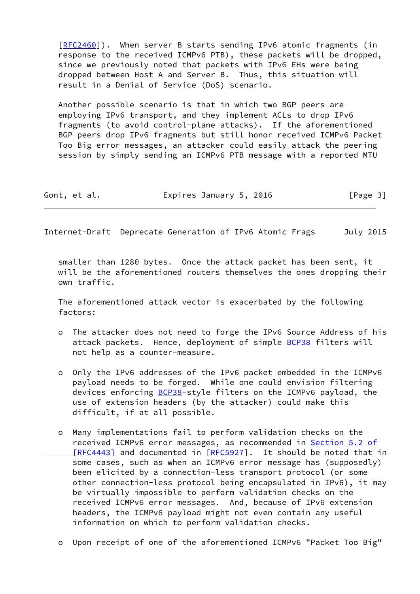[\[RFC2460](https://datatracker.ietf.org/doc/pdf/rfc2460)]). When server B starts sending IPv6 atomic fragments (in response to the received ICMPv6 PTB), these packets will be dropped, since we previously noted that packets with IPv6 EHs were being dropped between Host A and Server B. Thus, this situation will result in a Denial of Service (DoS) scenario.

 Another possible scenario is that in which two BGP peers are employing IPv6 transport, and they implement ACLs to drop IPv6 fragments (to avoid control-plane attacks). If the aforementioned BGP peers drop IPv6 fragments but still honor received ICMPv6 Packet Too Big error messages, an attacker could easily attack the peering session by simply sending an ICMPv6 PTB message with a reported MTU

| Gont, et al. | Expires January 5, 2016 | [Page 3] |
|--------------|-------------------------|----------|
|--------------|-------------------------|----------|

Internet-Draft Deprecate Generation of IPv6 Atomic Frags July 2015

 smaller than 1280 bytes. Once the attack packet has been sent, it will be the aforementioned routers themselves the ones dropping their own traffic.

 The aforementioned attack vector is exacerbated by the following factors:

- o The attacker does not need to forge the IPv6 Source Address of his attack packets. Hence, deployment of simple [BCP38](https://datatracker.ietf.org/doc/pdf/bcp38) filters will not help as a counter-measure.
- o Only the IPv6 addresses of the IPv6 packet embedded in the ICMPv6 payload needs to be forged. While one could envision filtering devices enforcing **BCP38-style filters on the ICMPv6 payload**, the use of extension headers (by the attacker) could make this difficult, if at all possible.
- o Many implementations fail to perform validation checks on the received ICMPv6 error messages, as recommended in [Section](https://datatracker.ietf.org/doc/pdf/rfc4443#section-5.2) 5.2 of [RFC4443] and documented in [\[RFC5927](https://datatracker.ietf.org/doc/pdf/rfc5927)]. It should be noted that in some cases, such as when an ICMPv6 error message has (supposedly) been elicited by a connection-less transport protocol (or some other connection-less protocol being encapsulated in IPv6), it may be virtually impossible to perform validation checks on the received ICMPv6 error messages. And, because of IPv6 extension headers, the ICMPv6 payload might not even contain any useful information on which to perform validation checks.
- o Upon receipt of one of the aforementioned ICMPv6 "Packet Too Big"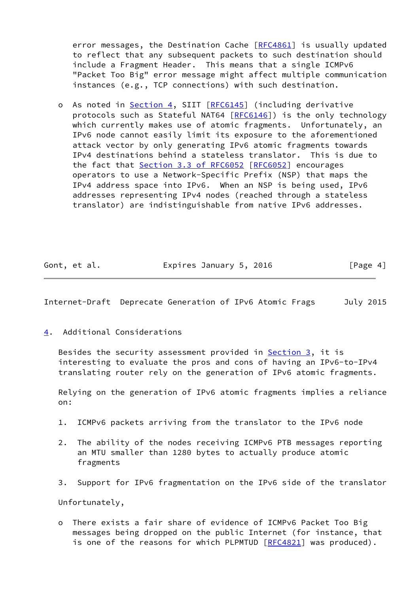error messages, the Destination Cache [\[RFC4861](https://datatracker.ietf.org/doc/pdf/rfc4861)] is usually updated to reflect that any subsequent packets to such destination should include a Fragment Header. This means that a single ICMPv6 "Packet Too Big" error message might affect multiple communication instances (e.g., TCP connections) with such destination.

 o As noted in [Section 4,](#page-4-0) SIIT [\[RFC6145](https://datatracker.ietf.org/doc/pdf/rfc6145)] (including derivative protocols such as Stateful NAT64 [\[RFC6146](https://datatracker.ietf.org/doc/pdf/rfc6146)]) is the only technology which currently makes use of atomic fragments. Unfortunately, an IPv6 node cannot easily limit its exposure to the aforementioned attack vector by only generating IPv6 atomic fragments towards IPv4 destinations behind a stateless translator. This is due to the fact that Section [3.3 of RFC6052](https://datatracker.ietf.org/doc/pdf/rfc6052#section-3.3) [\[RFC6052](https://datatracker.ietf.org/doc/pdf/rfc6052)] encourages operators to use a Network-Specific Prefix (NSP) that maps the IPv4 address space into IPv6. When an NSP is being used, IPv6 addresses representing IPv4 nodes (reached through a stateless translator) are indistinguishable from native IPv6 addresses.

|  | Gont, et al. |  | Expires January 5, 2016 |  | [Page 4] |
|--|--------------|--|-------------------------|--|----------|
|--|--------------|--|-------------------------|--|----------|

<span id="page-4-1"></span>Internet-Draft Deprecate Generation of IPv6 Atomic Frags July 2015

<span id="page-4-0"></span>[4](#page-4-0). Additional Considerations

Besides the security assessment provided in **Section 3**, it is interesting to evaluate the pros and cons of having an IPv6-to-IPv4 translating router rely on the generation of IPv6 atomic fragments.

 Relying on the generation of IPv6 atomic fragments implies a reliance on:

- 1. ICMPv6 packets arriving from the translator to the IPv6 node
- 2. The ability of the nodes receiving ICMPv6 PTB messages reporting an MTU smaller than 1280 bytes to actually produce atomic fragments
- 3. Support for IPv6 fragmentation on the IPv6 side of the translator

Unfortunately,

 o There exists a fair share of evidence of ICMPv6 Packet Too Big messages being dropped on the public Internet (for instance, that is one of the reasons for which PLPMTUD [[RFC4821\]](https://datatracker.ietf.org/doc/pdf/rfc4821) was produced).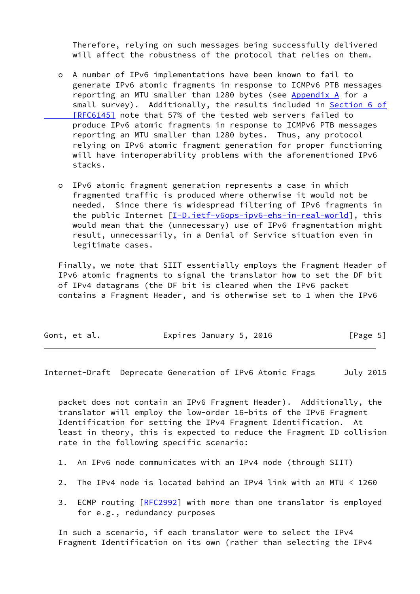Therefore, relying on such messages being successfully delivered will affect the robustness of the protocol that relies on them.

- o A number of IPv6 implementations have been known to fail to generate IPv6 atomic fragments in response to ICMPv6 PTB messages reporting an MTU smaller than 1280 bytes (see [Appendix A](#page-9-0) for a small survey). Additionally, the results included in [Section](https://datatracker.ietf.org/doc/pdf/rfc6145#section-6) 6 of  [\[RFC6145\]](https://datatracker.ietf.org/doc/pdf/rfc6145#section-6) note that 57% of the tested web servers failed to produce IPv6 atomic fragments in response to ICMPv6 PTB messages reporting an MTU smaller than 1280 bytes. Thus, any protocol relying on IPv6 atomic fragment generation for proper functioning will have interoperability problems with the aforementioned IPv6 stacks.
- o IPv6 atomic fragment generation represents a case in which fragmented traffic is produced where otherwise it would not be needed. Since there is widespread filtering of IPv6 fragments in the public Internet [\[I-D.ietf-v6ops-ipv6-ehs-in-real-world](#page-8-1)], this would mean that the (unnecessary) use of IPv6 fragmentation might result, unnecessarily, in a Denial of Service situation even in legitimate cases.

 Finally, we note that SIIT essentially employs the Fragment Header of IPv6 atomic fragments to signal the translator how to set the DF bit of IPv4 datagrams (the DF bit is cleared when the IPv6 packet contains a Fragment Header, and is otherwise set to 1 when the IPv6

|  | Gont, et al. |  | Expires January 5, 2016 |  | [Page 5] |  |
|--|--------------|--|-------------------------|--|----------|--|
|--|--------------|--|-------------------------|--|----------|--|

<span id="page-5-0"></span>Internet-Draft Deprecate Generation of IPv6 Atomic Frags July 2015

 packet does not contain an IPv6 Fragment Header). Additionally, the translator will employ the low-order 16-bits of the IPv6 Fragment Identification for setting the IPv4 Fragment Identification. At least in theory, this is expected to reduce the Fragment ID collision rate in the following specific scenario:

- 1. An IPv6 node communicates with an IPv4 node (through SIIT)
- 2. The IPv4 node is located behind an IPv4 link with an MTU < 1260
- 3. ECMP routing [\[RFC2992](https://datatracker.ietf.org/doc/pdf/rfc2992)] with more than one translator is employed for e.g., redundancy purposes

 In such a scenario, if each translator were to select the IPv4 Fragment Identification on its own (rather than selecting the IPv4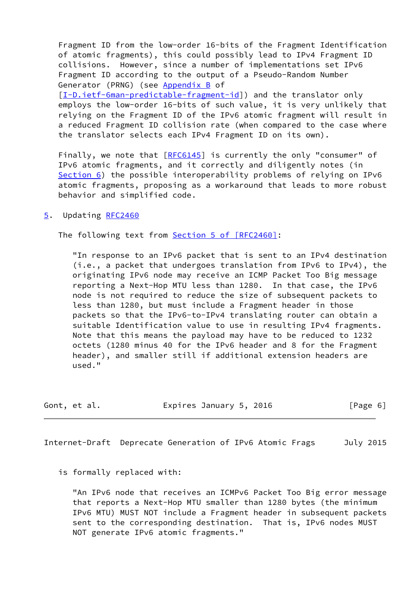Fragment ID from the low-order 16-bits of the Fragment Identification of atomic fragments), this could possibly lead to IPv4 Fragment ID collisions. However, since a number of implementations set IPv6 Fragment ID according to the output of a Pseudo-Random Number Generator (PRNG) (see Appendix B of [\[I-D.ietf-6man-predictable-fragment-id](#page-8-2)]) and the translator only employs the low-order 16-bits of such value, it is very unlikely that relying on the Fragment ID of the IPv6 atomic fragment will result in a reduced Fragment ID collision rate (when compared to the case where the translator selects each IPv4 Fragment ID on its own).

Finally, we note that [[RFC6145](https://datatracker.ietf.org/doc/pdf/rfc6145)] is currently the only "consumer" of IPv6 atomic fragments, and it correctly and diligently notes (in [Section 6](#page-7-0)) the possible interoperability problems of relying on IPv6 atomic fragments, proposing as a workaround that leads to more robust behavior and simplified code.

<span id="page-6-0"></span>[5](#page-6-0). Updating [RFC2460](https://datatracker.ietf.org/doc/pdf/rfc2460)

The following text from Section [5 of \[RFC2460\]](https://datatracker.ietf.org/doc/pdf/rfc2460#section-5):

 "In response to an IPv6 packet that is sent to an IPv4 destination (i.e., a packet that undergoes translation from IPv6 to IPv4), the originating IPv6 node may receive an ICMP Packet Too Big message reporting a Next-Hop MTU less than 1280. In that case, the IPv6 node is not required to reduce the size of subsequent packets to less than 1280, but must include a Fragment header in those packets so that the IPv6-to-IPv4 translating router can obtain a suitable Identification value to use in resulting IPv4 fragments. Note that this means the payload may have to be reduced to 1232 octets (1280 minus 40 for the IPv6 header and 8 for the Fragment header), and smaller still if additional extension headers are used."

Gont, et al. **Expires January 5, 2016** [Page 6]

<span id="page-6-1"></span>Internet-Draft Deprecate Generation of IPv6 Atomic Frags July 2015

is formally replaced with:

 "An IPv6 node that receives an ICMPv6 Packet Too Big error message that reports a Next-Hop MTU smaller than 1280 bytes (the minimum IPv6 MTU) MUST NOT include a Fragment header in subsequent packets sent to the corresponding destination. That is, IPv6 nodes MUST NOT generate IPv6 atomic fragments."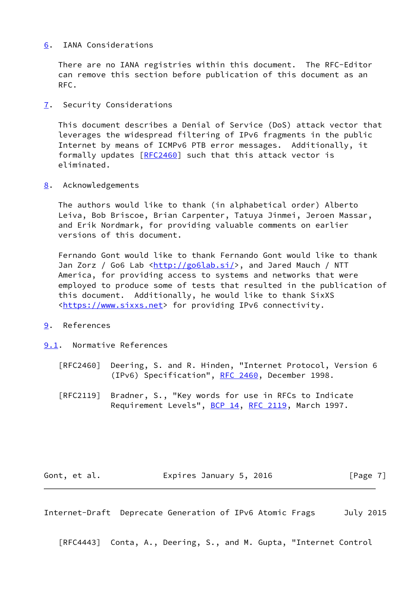## <span id="page-7-0"></span>[6](#page-7-0). IANA Considerations

 There are no IANA registries within this document. The RFC-Editor can remove this section before publication of this document as an RFC.

<span id="page-7-1"></span>[7](#page-7-1). Security Considerations

 This document describes a Denial of Service (DoS) attack vector that leverages the widespread filtering of IPv6 fragments in the public Internet by means of ICMPv6 PTB error messages. Additionally, it formally updates [\[RFC2460](https://datatracker.ietf.org/doc/pdf/rfc2460)] such that this attack vector is eliminated.

<span id="page-7-2"></span>[8](#page-7-2). Acknowledgements

 The authors would like to thank (in alphabetical order) Alberto Leiva, Bob Briscoe, Brian Carpenter, Tatuya Jinmei, Jeroen Massar, and Erik Nordmark, for providing valuable comments on earlier versions of this document.

 Fernando Gont would like to thank Fernando Gont would like to thank Jan Zorz / Go6 Lab <[http://go6lab.si/>](http://go6lab.si/), and Jared Mauch / NTT America, for providing access to systems and networks that were employed to produce some of tests that resulted in the publication of this document. Additionally, he would like to thank SixXS [<https://www.sixxs.net](https://www.sixxs.net)> for providing IPv6 connectivity.

- <span id="page-7-3"></span>[9](#page-7-3). References
- <span id="page-7-4"></span>[9.1](#page-7-4). Normative References
	- [RFC2460] Deering, S. and R. Hinden, "Internet Protocol, Version 6 (IPv6) Specification", [RFC 2460](https://datatracker.ietf.org/doc/pdf/rfc2460), December 1998.
	- [RFC2119] Bradner, S., "Key words for use in RFCs to Indicate Requirement Levels", [BCP 14](https://datatracker.ietf.org/doc/pdf/bcp14), [RFC 2119](https://datatracker.ietf.org/doc/pdf/rfc2119), March 1997.

Gont, et al. **Expires January 5, 2016** [Page 7]

<span id="page-7-5"></span>Internet-Draft Deprecate Generation of IPv6 Atomic Frags July 2015

[RFC4443] Conta, A., Deering, S., and M. Gupta, "Internet Control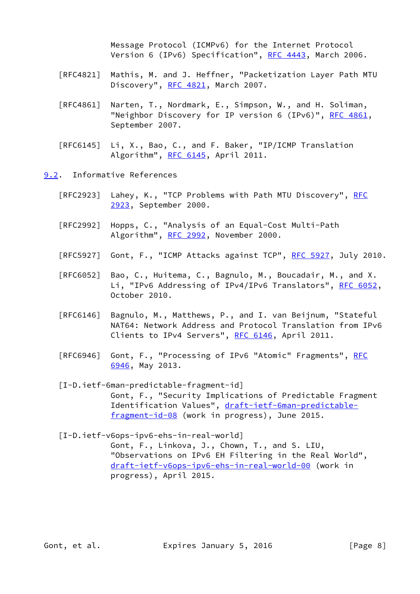Message Protocol (ICMPv6) for the Internet Protocol Version 6 (IPv6) Specification", [RFC 4443,](https://datatracker.ietf.org/doc/pdf/rfc4443) March 2006.

- [RFC4821] Mathis, M. and J. Heffner, "Packetization Layer Path MTU Discovery", [RFC 4821,](https://datatracker.ietf.org/doc/pdf/rfc4821) March 2007.
- [RFC4861] Narten, T., Nordmark, E., Simpson, W., and H. Soliman, "Neighbor Discovery for IP version 6 (IPv6)", [RFC 4861](https://datatracker.ietf.org/doc/pdf/rfc4861), September 2007.
- [RFC6145] Li, X., Bao, C., and F. Baker, "IP/ICMP Translation Algorithm", [RFC 6145,](https://datatracker.ietf.org/doc/pdf/rfc6145) April 2011.

<span id="page-8-0"></span>[9.2](#page-8-0). Informative References

- [RFC2923] Lahey, K., "TCP Problems with Path MTU Discovery", [RFC](https://datatracker.ietf.org/doc/pdf/rfc2923) [2923,](https://datatracker.ietf.org/doc/pdf/rfc2923) September 2000.
- [RFC2992] Hopps, C., "Analysis of an Equal-Cost Multi-Path Algorithm", [RFC 2992,](https://datatracker.ietf.org/doc/pdf/rfc2992) November 2000.
- [RFC5927] Gont, F., "ICMP Attacks against TCP", [RFC 5927](https://datatracker.ietf.org/doc/pdf/rfc5927), July 2010.
- [RFC6052] Bao, C., Huitema, C., Bagnulo, M., Boucadair, M., and X. Li, "IPv6 Addressing of IPv4/IPv6 Translators", [RFC 6052,](https://datatracker.ietf.org/doc/pdf/rfc6052) October 2010.
- [RFC6146] Bagnulo, M., Matthews, P., and I. van Beijnum, "Stateful NAT64: Network Address and Protocol Translation from IPv6 Clients to IPv4 Servers", [RFC 6146](https://datatracker.ietf.org/doc/pdf/rfc6146), April 2011.
- [RFC6946] Gont, F., "Processing of IPv6 "Atomic" Fragments", [RFC](https://datatracker.ietf.org/doc/pdf/rfc6946) [6946,](https://datatracker.ietf.org/doc/pdf/rfc6946) May 2013.
- <span id="page-8-2"></span> [I-D.ietf-6man-predictable-fragment-id] Gont, F., "Security Implications of Predictable Fragment Identification Values", [draft-ietf-6man-predictable](https://datatracker.ietf.org/doc/pdf/draft-ietf-6man-predictable-fragment-id-08) [fragment-id-08](https://datatracker.ietf.org/doc/pdf/draft-ietf-6man-predictable-fragment-id-08) (work in progress), June 2015.
- <span id="page-8-1"></span> [I-D.ietf-v6ops-ipv6-ehs-in-real-world] Gont, F., Linkova, J., Chown, T., and S. LIU, "Observations on IPv6 EH Filtering in the Real World", [draft-ietf-v6ops-ipv6-ehs-in-real-world-00](https://datatracker.ietf.org/doc/pdf/draft-ietf-v6ops-ipv6-ehs-in-real-world-00) (work in progress), April 2015.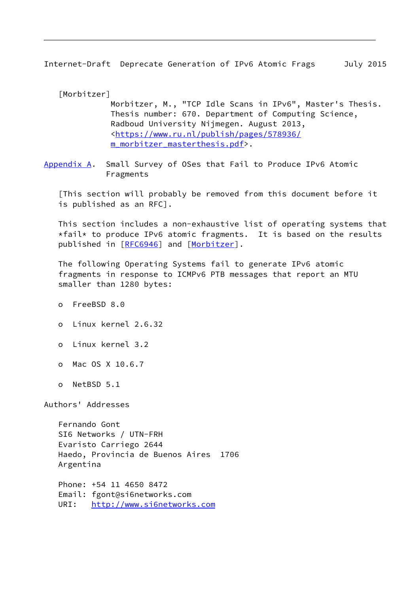<span id="page-9-1"></span>Internet-Draft Deprecate Generation of IPv6 Atomic Frags July 2015

<span id="page-9-2"></span> [Morbitzer] Morbitzer, M., "TCP Idle Scans in IPv6", Master's Thesis. Thesis number: 670. Department of Computing Science, Radboud University Nijmegen. August 2013, <[https://www.ru.nl/publish/pages/578936/](https://www.ru.nl/publish/pages/578936/m_morbitzer_masterthesis.pdf) [m\\_morbitzer\\_masterthesis.pdf>](https://www.ru.nl/publish/pages/578936/m_morbitzer_masterthesis.pdf).

<span id="page-9-0"></span>[Appendix A.](#page-9-0) Small Survey of OSes that Fail to Produce IPv6 Atomic Fragments

 [This section will probably be removed from this document before it is published as an RFC].

 This section includes a non-exhaustive list of operating systems that  $*$ fail\* to produce IPv6 atomic fragments. It is based on the results published in [\[RFC6946](https://datatracker.ietf.org/doc/pdf/rfc6946)] and [[Morbitzer\]](#page-9-2).

 The following Operating Systems fail to generate IPv6 atomic fragments in response to ICMPv6 PTB messages that report an MTU smaller than 1280 bytes:

- o FreeBSD 8.0
- o Linux kernel 2.6.32
- o Linux kernel 3.2
- o Mac OS X 10.6.7
- o NetBSD 5.1

Authors' Addresses

 Fernando Gont SI6 Networks / UTN-FRH Evaristo Carriego 2644 Haedo, Provincia de Buenos Aires 1706 Argentina

 Phone: +54 11 4650 8472 Email: fgont@si6networks.com URI: <http://www.si6networks.com>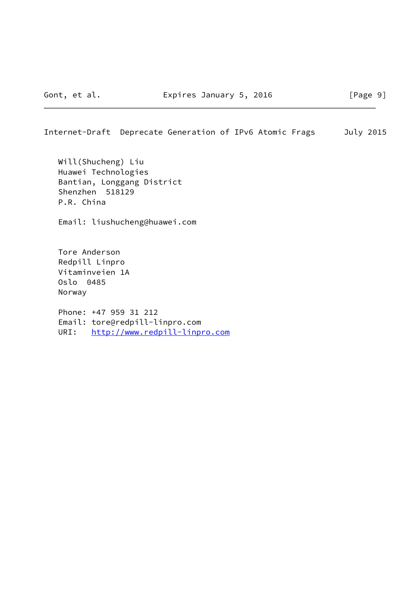Internet-Draft Deprecate Generation of IPv6 Atomic Frags July 2015

 Will(Shucheng) Liu Huawei Technologies Bantian, Longgang District Shenzhen 518129 P.R. China

Email: liushucheng@huawei.com

 Tore Anderson Redpill Linpro Vitaminveien 1A Oslo 0485 Norway

 Phone: +47 959 31 212 Email: tore@redpill-linpro.com URI: <http://www.redpill-linpro.com>